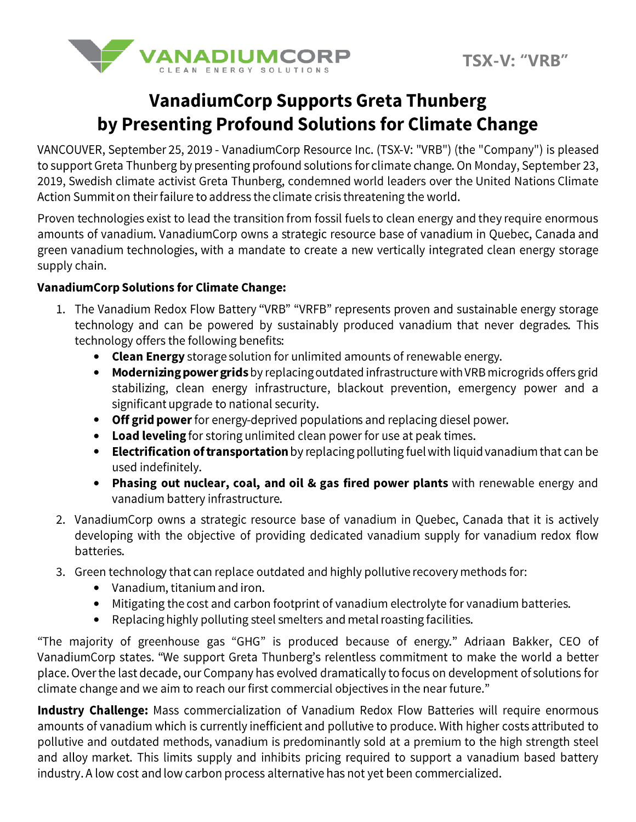

## **VanadiumCorp Supports Greta Thunberg** by Presenting Profound Solutions for Climate Change

VANCOUVER, September 25, 2019 - VanadiumCorp Resource Inc. (TSX-V: "VRB") (the "Company") is pleased to support Greta Thunberg by presenting profound solutions for climate change. On Monday, September 23, 2019, Swedish climate activist Greta Thunberg, condemned world leaders over the United Nations Climate Action Summit on their failure to address the climate crisis threatening the world.

Proven technologies exist to lead the transition from fossil fuels to clean energy and they require enormous amounts of vanadium. VanadiumCorp owns a strategic resource base of vanadium in Quebec, Canada and green vanadium technologies, with a mandate to create a new vertically integrated clean energy storage supply chain.

## **VanadiumCorp Solutions for Climate Change:**

- 1. The Vanadium Redox Flow Battery "VRB" "VRFB" represents proven and sustainable energy storage technology and can be powered by sustainably produced vanadium that never degrades. This technology offers the following benefits:
	- Clean Energy storage solution for unlimited amounts of renewable energy.
	- Modernizing power grids by replacing outdated infrastructure with VRB microgrids offers grid stabilizing, clean energy infrastructure, blackout prevention, emergency power and a significant upgrade to national security.
	- Off grid power for energy-deprived populations and replacing diesel power.
	- Load leveling for storing unlimited clean power for use at peak times.
	- Electrification of transportation by replacing polluting fuel with liquid vanadium that can be used indefinitely.
	- Phasing out nuclear, coal, and oil & gas fired power plants with renewable energy and vanadium battery infrastructure.
- 2. VanadiumCorp owns a strategic resource base of vanadium in Quebec, Canada that it is actively developing with the objective of providing dedicated vanadium supply for vanadium redox flow batteries.
- 3. Green technology that can replace outdated and highly pollutive recovery methods for:
	- Vanadium, titanium and iron.
	- Mitigating the cost and carbon footprint of vanadium electrolyte for vanadium batteries.
	- Replacing highly polluting steel smelters and metal roasting facilities.  $\bullet$

"The majority of greenhouse gas "GHG" is produced because of energy." Adriaan Bakker, CEO of VanadiumCorp states. "We support Greta Thunberg's relentless commitment to make the world a better place. Over the last decade, our Company has evolved dramatically to focus on development of solutions for climate change and we aim to reach our first commercial objectives in the near future."

Industry Challenge: Mass commercialization of Vanadium Redox Flow Batteries will require enormous amounts of vanadium which is currently inefficient and pollutive to produce. With higher costs attributed to pollutive and outdated methods, vanadium is predominantly sold at a premium to the high strength steel and alloy market. This limits supply and inhibits pricing required to support a vanadium based battery industry. A low cost and low carbon process alternative has not yet been commercialized.